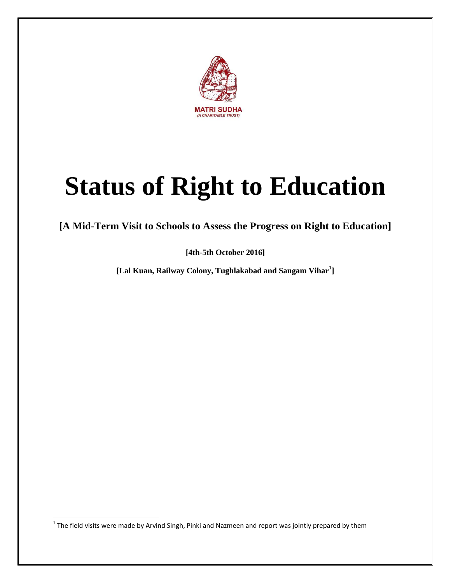

# **Status of Right to Education**

**[A Mid-Term Visit to Schools to Assess the Progress on Right to Education]**

**[4th-5th October 2016]**

**[Lal Kuan, Railway Colony, Tughlakabad and Sangam Vihar<sup>1</sup> ]**

**The field visits were made by Arvind Singh, Pinki and Nazmeen and report was jointly prepared by them**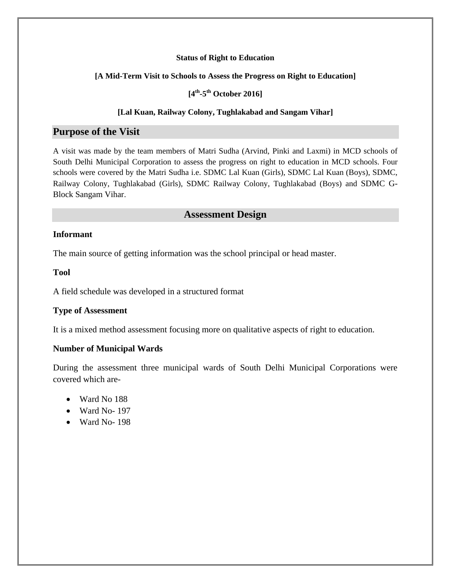#### **Status of Right to Education**

#### **[A Mid-Term Visit to Schools to Assess the Progress on Right to Education]**

#### **[4 th -5 th October 2016]**

#### **[Lal Kuan, Railway Colony, Tughlakabad and Sangam Vihar]**

#### **Purpose of the Visit**

A visit was made by the team members of Matri Sudha (Arvind, Pinki and Laxmi) in MCD schools of South Delhi Municipal Corporation to assess the progress on right to education in MCD schools. Four schools were covered by the Matri Sudha i.e. SDMC Lal Kuan (Girls), SDMC Lal Kuan (Boys), SDMC, Railway Colony, Tughlakabad (Girls), SDMC Railway Colony, Tughlakabad (Boys) and SDMC G-Block Sangam Vihar.

#### **Assessment Design**

#### **Informant**

The main source of getting information was the school principal or head master.

#### **Tool**

A field schedule was developed in a structured format

#### **Type of Assessment**

It is a mixed method assessment focusing more on qualitative aspects of right to education.

#### **Number of Municipal Wards**

During the assessment three municipal wards of South Delhi Municipal Corporations were covered which are-

- Ward No 188
- Ward No- 197
- Ward No-198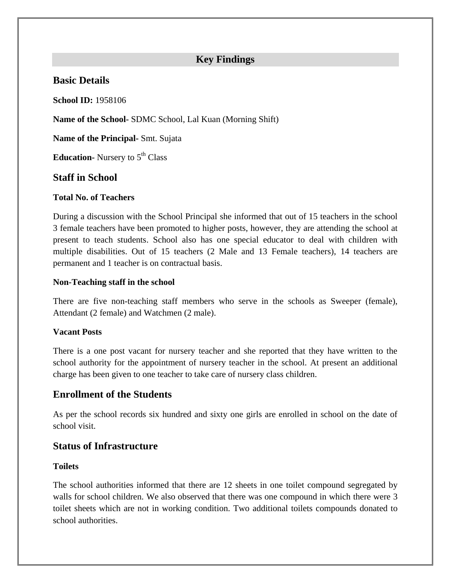# **Key Findings**

# **Basic Details**

**School ID:** 1958106

**Name of the School-** SDMC School, Lal Kuan (Morning Shift)

**Name of the Principal-** Smt. Sujata

**Education-** Nursery to 5<sup>th</sup> Class

# **Staff in School**

#### **Total No. of Teachers**

During a discussion with the School Principal she informed that out of 15 teachers in the school 3 female teachers have been promoted to higher posts, however, they are attending the school at present to teach students. School also has one special educator to deal with children with multiple disabilities. Out of 15 teachers (2 Male and 13 Female teachers), 14 teachers are permanent and 1 teacher is on contractual basis.

#### **Non-Teaching staff in the school**

There are five non-teaching staff members who serve in the schools as Sweeper (female), Attendant (2 female) and Watchmen (2 male).

#### **Vacant Posts**

There is a one post vacant for nursery teacher and she reported that they have written to the school authority for the appointment of nursery teacher in the school. At present an additional charge has been given to one teacher to take care of nursery class children.

# **Enrollment of the Students**

As per the school records six hundred and sixty one girls are enrolled in school on the date of school visit.

# **Status of Infrastructure**

#### **Toilets**

The school authorities informed that there are 12 sheets in one toilet compound segregated by walls for school children. We also observed that there was one compound in which there were 3 toilet sheets which are not in working condition. Two additional toilets compounds donated to school authorities.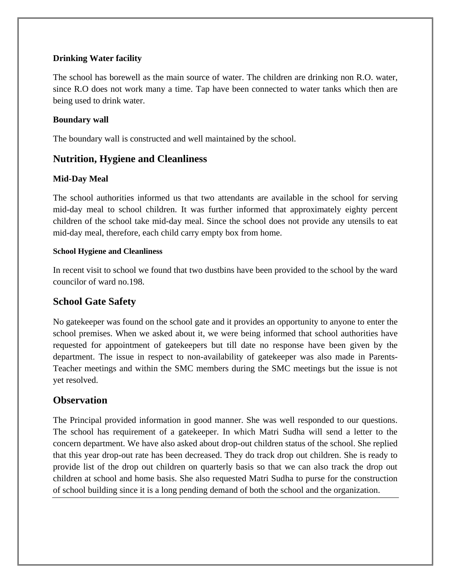## **Drinking Water facility**

The school has borewell as the main source of water. The children are drinking non R.O. water, since R.O does not work many a time. Tap have been connected to water tanks which then are being used to drink water.

## **Boundary wall**

The boundary wall is constructed and well maintained by the school.

# **Nutrition, Hygiene and Cleanliness**

#### **Mid-Day Meal**

The school authorities informed us that two attendants are available in the school for serving mid-day meal to school children. It was further informed that approximately eighty percent children of the school take mid-day meal. Since the school does not provide any utensils to eat mid-day meal, therefore, each child carry empty box from home.

#### **School Hygiene and Cleanliness**

In recent visit to school we found that two dustbins have been provided to the school by the ward councilor of ward no.198.

# **School Gate Safety**

No gatekeeper was found on the school gate and it provides an opportunity to anyone to enter the school premises. When we asked about it, we were being informed that school authorities have requested for appointment of gatekeepers but till date no response have been given by the department. The issue in respect to non-availability of gatekeeper was also made in Parents-Teacher meetings and within the SMC members during the SMC meetings but the issue is not yet resolved.

# **Observation**

The Principal provided information in good manner. She was well responded to our questions. The school has requirement of a gatekeeper. In which Matri Sudha will send a letter to the concern department. We have also asked about drop-out children status of the school. She replied that this year drop-out rate has been decreased. They do track drop out children. She is ready to provide list of the drop out children on quarterly basis so that we can also track the drop out children at school and home basis. She also requested Matri Sudha to purse for the construction of school building since it is a long pending demand of both the school and the organization.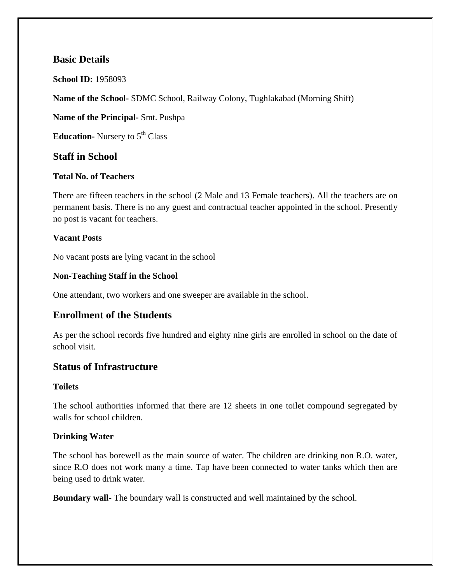# **Basic Details**

**School ID:** 1958093

**Name of the School-** SDMC School, Railway Colony, Tughlakabad (Morning Shift)

**Name of the Principal-** Smt. Pushpa

**Education-** Nursery to 5<sup>th</sup> Class

## **Staff in School**

#### **Total No. of Teachers**

There are fifteen teachers in the school (2 Male and 13 Female teachers). All the teachers are on permanent basis. There is no any guest and contractual teacher appointed in the school. Presently no post is vacant for teachers.

#### **Vacant Posts**

No vacant posts are lying vacant in the school

#### **Non-Teaching Staff in the School**

One attendant, two workers and one sweeper are available in the school.

# **Enrollment of the Students**

As per the school records five hundred and eighty nine girls are enrolled in school on the date of school visit.

#### **Status of Infrastructure**

#### **Toilets**

The school authorities informed that there are 12 sheets in one toilet compound segregated by walls for school children.

#### **Drinking Water**

The school has borewell as the main source of water. The children are drinking non R.O. water, since R.O does not work many a time. Tap have been connected to water tanks which then are being used to drink water.

**Boundary wall-** The boundary wall is constructed and well maintained by the school.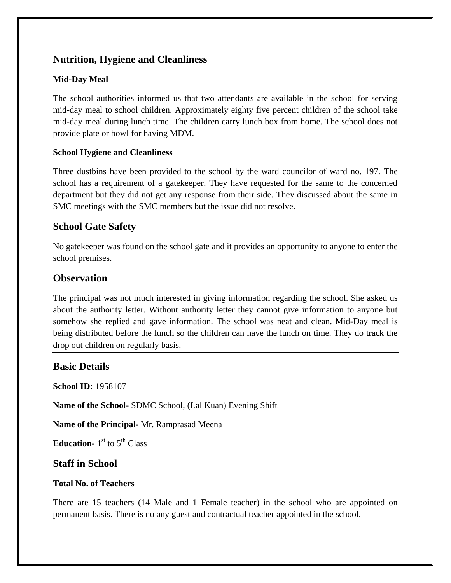# **Nutrition, Hygiene and Cleanliness**

## **Mid-Day Meal**

The school authorities informed us that two attendants are available in the school for serving mid-day meal to school children. Approximately eighty five percent children of the school take mid-day meal during lunch time. The children carry lunch box from home. The school does not provide plate or bowl for having MDM.

#### **School Hygiene and Cleanliness**

Three dustbins have been provided to the school by the ward councilor of ward no. 197. The school has a requirement of a gatekeeper. They have requested for the same to the concerned department but they did not get any response from their side. They discussed about the same in SMC meetings with the SMC members but the issue did not resolve.

# **School Gate Safety**

No gatekeeper was found on the school gate and it provides an opportunity to anyone to enter the school premises.

# **Observation**

The principal was not much interested in giving information regarding the school. She asked us about the authority letter. Without authority letter they cannot give information to anyone but somehow she replied and gave information. The school was neat and clean. Mid-Day meal is being distributed before the lunch so the children can have the lunch on time. They do track the drop out children on regularly basis.

# **Basic Details**

**School ID:** 1958107

**Name of the School-** SDMC School, (Lal Kuan) Evening Shift

**Name of the Principal-** Mr. Ramprasad Meena

**Education-** 1<sup>st</sup> to 5<sup>th</sup> Class

# **Staff in School**

## **Total No. of Teachers**

There are 15 teachers (14 Male and 1 Female teacher) in the school who are appointed on permanent basis. There is no any guest and contractual teacher appointed in the school.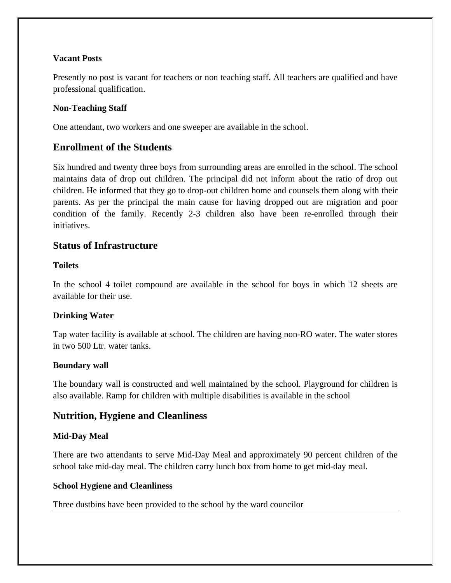#### **Vacant Posts**

Presently no post is vacant for teachers or non teaching staff. All teachers are qualified and have professional qualification.

#### **Non-Teaching Staff**

One attendant, two workers and one sweeper are available in the school.

# **Enrollment of the Students**

Six hundred and twenty three boys from surrounding areas are enrolled in the school. The school maintains data of drop out children. The principal did not inform about the ratio of drop out children. He informed that they go to drop-out children home and counsels them along with their parents. As per the principal the main cause for having dropped out are migration and poor condition of the family. Recently 2-3 children also have been re-enrolled through their initiatives.

## **Status of Infrastructure**

#### **Toilets**

In the school 4 toilet compound are available in the school for boys in which 12 sheets are available for their use.

#### **Drinking Water**

Tap water facility is available at school. The children are having non-RO water. The water stores in two 500 Ltr. water tanks.

#### **Boundary wall**

The boundary wall is constructed and well maintained by the school. Playground for children is also available. Ramp for children with multiple disabilities is available in the school

# **Nutrition, Hygiene and Cleanliness**

#### **Mid-Day Meal**

There are two attendants to serve Mid-Day Meal and approximately 90 percent children of the school take mid-day meal. The children carry lunch box from home to get mid-day meal.

#### **School Hygiene and Cleanliness**

Three dustbins have been provided to the school by the ward councilor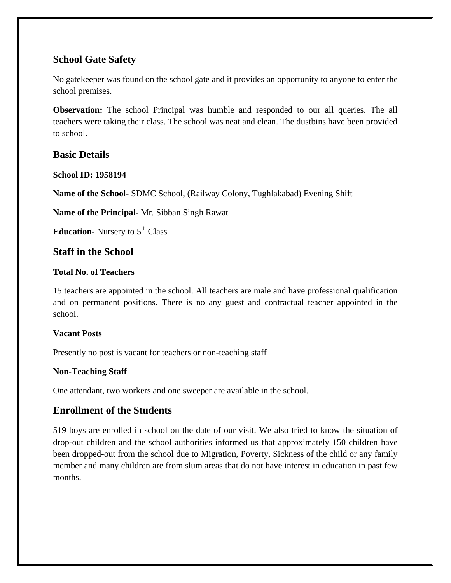# **School Gate Safety**

No gatekeeper was found on the school gate and it provides an opportunity to anyone to enter the school premises.

**Observation:** The school Principal was humble and responded to our all queries. The all teachers were taking their class. The school was neat and clean. The dustbins have been provided to school.

# **Basic Details**

#### **School ID: 1958194**

**Name of the School-** SDMC School, (Railway Colony, Tughlakabad) Evening Shift

**Name of the Principal-** Mr. Sibban Singh Rawat

**Education-** Nursery to 5<sup>th</sup> Class

## **Staff in the School**

#### **Total No. of Teachers**

15 teachers are appointed in the school. All teachers are male and have professional qualification and on permanent positions. There is no any guest and contractual teacher appointed in the school.

#### **Vacant Posts**

Presently no post is vacant for teachers or non-teaching staff

#### **Non-Teaching Staff**

One attendant, two workers and one sweeper are available in the school.

# **Enrollment of the Students**

519 boys are enrolled in school on the date of our visit. We also tried to know the situation of drop-out children and the school authorities informed us that approximately 150 children have been dropped-out from the school due to Migration, Poverty, Sickness of the child or any family member and many children are from slum areas that do not have interest in education in past few months.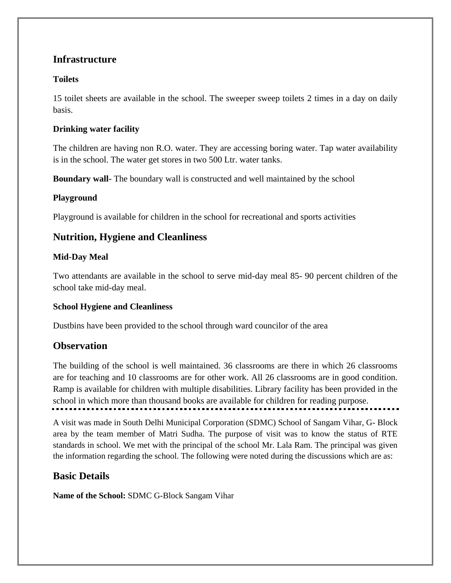# **Infrastructure**

## **Toilets**

15 toilet sheets are available in the school. The sweeper sweep toilets 2 times in a day on daily basis.

## **Drinking water facility**

The children are having non R.O. water. They are accessing boring water. Tap water availability is in the school. The water get stores in two 500 Ltr. water tanks.

**Boundary wall-** The boundary wall is constructed and well maintained by the school

## **Playground**

Playground is available for children in the school for recreational and sports activities

# **Nutrition, Hygiene and Cleanliness**

## **Mid-Day Meal**

Two attendants are available in the school to serve mid-day meal 85- 90 percent children of the school take mid-day meal.

#### **School Hygiene and Cleanliness**

Dustbins have been provided to the school through ward councilor of the area

# **Observation**

The building of the school is well maintained. 36 classrooms are there in which 26 classrooms are for teaching and 10 classrooms are for other work. All 26 classrooms are in good condition. Ramp is available for children with multiple disabilities. Library facility has been provided in the school in which more than thousand books are available for children for reading purpose.

A visit was made in South Delhi Municipal Corporation (SDMC) School of Sangam Vihar, G- Block area by the team member of Matri Sudha. The purpose of visit was to know the status of RTE standards in school. We met with the principal of the school Mr. Lala Ram. The principal was given the information regarding the school. The following were noted during the discussions which are as:

# **Basic Details**

**Name of the School:** SDMC G-Block Sangam Vihar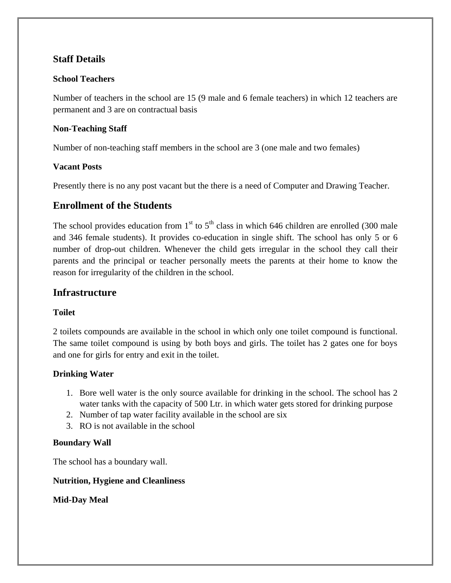# **Staff Details**

#### **School Teachers**

Number of teachers in the school are 15 (9 male and 6 female teachers) in which 12 teachers are permanent and 3 are on contractual basis

#### **Non-Teaching Staff**

Number of non-teaching staff members in the school are 3 (one male and two females)

#### **Vacant Posts**

Presently there is no any post vacant but the there is a need of Computer and Drawing Teacher.

# **Enrollment of the Students**

The school provides education from  $1<sup>st</sup>$  to  $5<sup>th</sup>$  class in which 646 children are enrolled (300 male and 346 female students). It provides co-education in single shift. The school has only 5 or 6 number of drop-out children. Whenever the child gets irregular in the school they call their parents and the principal or teacher personally meets the parents at their home to know the reason for irregularity of the children in the school.

## **Infrastructure**

#### **Toilet**

2 toilets compounds are available in the school in which only one toilet compound is functional. The same toilet compound is using by both boys and girls. The toilet has 2 gates one for boys and one for girls for entry and exit in the toilet.

#### **Drinking Water**

- 1. Bore well water is the only source available for drinking in the school. The school has 2 water tanks with the capacity of 500 Ltr. in which water gets stored for drinking purpose
- 2. Number of tap water facility available in the school are six
- 3. RO is not available in the school

#### **Boundary Wall**

The school has a boundary wall.

#### **Nutrition, Hygiene and Cleanliness**

**Mid-Day Meal**